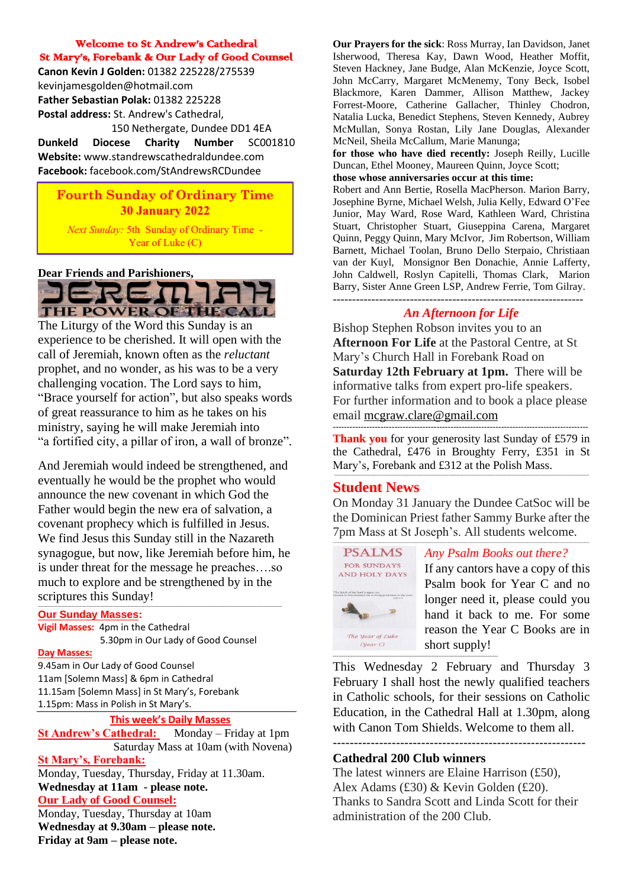#### Welcome to St Andrew's Cathedral St Mary's, Forebank & Our Lady of Good Counsel

**Canon Kevin J Golden:** 01382 225228/275539 kevinjamesgolden@hotmail.com **Father Sebastian Polak:** 01382 225228 **Postal address:** St. Andrew's Cathedral, 150 Nethergate, Dundee DD1 4EA

**Dunkeld Diocese Charity Number** SC001810 **Website:** www.standrewscathedraldundee.com **Facebook:** facebook.com/StAndrewsRCDundee

#### **Fourth Sunday of Ordinary Time 30 January 2022**

*Next Sunday:* 5th Sunday of Ordinary Time - Year of Luke (C)

#### **Dear Friends and Parishioners,**



The Liturgy of the Word this Sunday is an experience to be cherished. It will open with the call of Jeremiah, known often as the *reluctant*  prophet, and no wonder, as his was to be a very challenging vocation. The Lord says to him, "Brace yourself for action", but also speaks words of great reassurance to him as he takes on his ministry, saying he will make Jeremiah into "a fortified city, a pillar of iron, a wall of bronze".

And Jeremiah would indeed be strengthened, and eventually he would be the prophet who would announce the new covenant in which God the Father would begin the new era of salvation, a covenant prophecy which is fulfilled in Jesus. We find Jesus this Sunday still in the Nazareth synagogue, but now, like Jeremiah before him, he is under threat for the message he preaches….so much to explore and be strengthened by in the scriptures this Sunday! **------------------------------------------------------------------------------------------------------------------------------------------------------------------------------**

#### **Our Sunday Masses:**

**Vigil Masses:** 4pm in the Cathedral 5.30pm in Our Lady of Good Counsel

#### **Day Masses:**

9.45am in Our Lady of Good Counsel 11am [Solemn Mass] & 6pm in Cathedral 11.15am [Solemn Mass] in St Mary's, Forebank 1.15pm: Mass in Polish in St Mary's.

**This week's Daily Masses**<br> **Cathedral:** Monday – Friday at 1pm **St Andrew's Cathedral:**  Saturday Mass at 10am (with Novena) **St Mary's, Forebank:**

Monday, Tuesday, Thursday, Friday at 11.30am. **Wednesday at 11am - please note.**

#### **Our Lady of Good Counsel:**

Monday, Tuesday, Thursday at 10am **Wednesday at 9.30am – please note. Friday at 9am – please note.**

**Our Prayers for the sick**: Ross Murray, Ian Davidson, Janet Isherwood, Theresa Kay, Dawn Wood, Heather Moffit, Steven Hackney, Jane Budge, Alan McKenzie, Joyce Scott, John McCarry, Margaret McMenemy, Tony Beck, Isobel Blackmore, Karen Dammer, Allison Matthew, Jackey Forrest-Moore, Catherine Gallacher, Thinley Chodron, Natalia Lucka, Benedict Stephens, Steven Kennedy, Aubrey McMullan, Sonya Rostan, Lily Jane Douglas, Alexander McNeil, Sheila McCallum, Marie Manunga;

**for those who have died recently:** Joseph Reilly, Lucille Duncan, Ethel Mooney, Maureen Quinn, Joyce Scott;

**those whose anniversaries occur at this time:**

Robert and Ann Bertie, Rosella MacPherson. Marion Barry, Josephine Byrne, Michael Welsh, Julia Kelly, Edward O'Fee Junior, May Ward, Rose Ward, Kathleen Ward, Christina Stuart, Christopher Stuart, Giuseppina Carena, Margaret Quinn, Peggy Quinn, Mary McIvor, Jim Robertson, William Barnett, Michael Toolan, Bruno Dello Sterpaio, Christiaan van der Kuyl, Monsignor Ben Donachie, Annie Lafferty, John Caldwell, Roslyn Capitelli, Thomas Clark, Marion Barry, Sister Anne Green LSP, Andrew Ferrie, Tom Gilray. -----------------------------------------------------------------

#### *An Afternoon for Life*

Bishop Stephen Robson invites you to an **Afternoon For Life** at the Pastoral Centre, at St Mary's Church Hall in Forebank Road on **Saturday 12th February at 1pm.** There will be informative talks from expert pro-life speakers. For further information and to book a place please email [mcgraw.clare@gmail.com](mailto:mcgraw.clare@gmail.com)

------------------------------------------------------------------------------------------- **Thank you** for your generosity last Sunday of £579 in the Cathedral, £476 in Broughty Ferry, £351 in St Mary's, Forebank and £312 at the Polish Mass.

--------------------------------------------------------------------------------------------------------------------------------------------------------------

#### **Student News**

On Monday 31 January the Dundee CatSoc will be the Dominican Priest father Sammy Burke after the 7pm Mass at St Joseph's. All students welcome.



#### *Any Psalm Books out there?*

If any cantors have a copy of this Psalm book for Year C and no longer need it, please could you hand it back to me. For some reason the Year C Books are in short supply!

This Wednesday 2 February and Thursday 3 February I shall host the newly qualified teachers in Catholic schools, for their sessions on Catholic Education, in the Cathedral Hall at 1.30pm, along with Canon Tom Shields. Welcome to them all.

------------------------------------------------------------

#### **Cathedral 200 Club winners**

The latest winners are Elaine Harrison (£50), Alex Adams (£30) & Kevin Golden (£20). Thanks to Sandra Scott and Linda Scott for their administration of the 200 Club.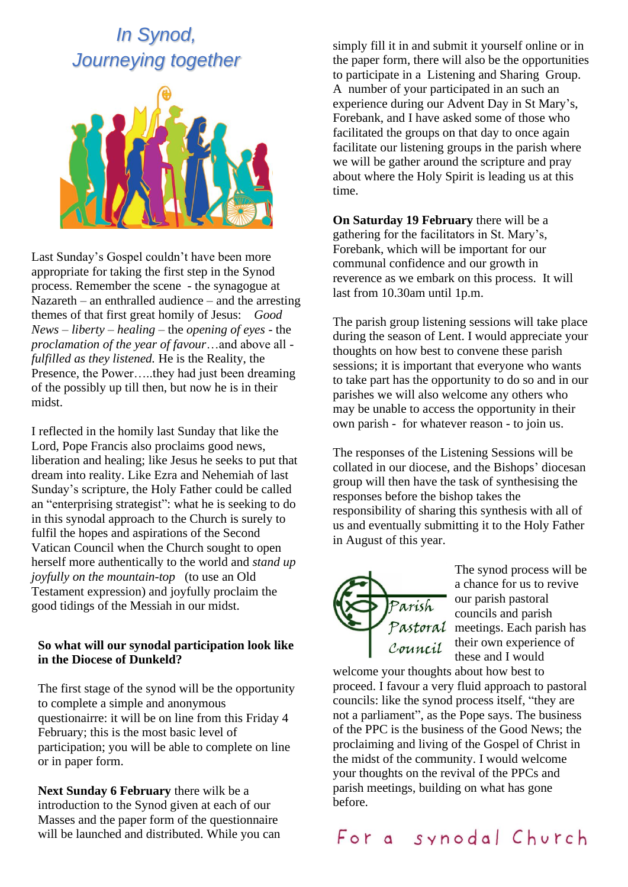# *In Synod, Journeying together*



Last Sunday's Gospel couldn't have been more appropriate for taking the first step in the Synod process. Remember the scene - the synagogue at Nazareth – an enthralled audience – and the arresting themes of that first great homily of Jesus: *Good News – liberty – healing* – the *opening of eyes -* the *proclamation of the year of favour*…and above all *fulfilled as they listened.* He is the Reality, the Presence, the Power…..they had just been dreaming of the possibly up till then, but now he is in their midst.

I reflected in the homily last Sunday that like the Lord, Pope Francis also proclaims good news, liberation and healing; like Jesus he seeks to put that dream into reality. Like Ezra and Nehemiah of last Sunday's scripture, the Holy Father could be called an "enterprising strategist": what he is seeking to do in this synodal approach to the Church is surely to fulfil the hopes and aspirations of the Second Vatican Council when the Church sought to open herself more authentically to the world and *stand up joyfully on the mountain-top* (to use an Old Testament expression) and joyfully proclaim the good tidings of the Messiah in our midst.

#### **So what will our synodal participation look like in the Diocese of Dunkeld?**

The first stage of the synod will be the opportunity to complete a simple and anonymous questionairre: it will be on line from this Friday 4 February; this is the most basic level of participation; you will be able to complete on line or in paper form.

**Next Sunday 6 February** there wilk be a introduction to the Synod given at each of our Masses and the paper form of the questionnaire will be launched and distributed. While you can simply fill it in and submit it yourself online or in the paper form, there will also be the opportunities to participate in a Listening and Sharing Group. A number of your participated in an such an experience during our Advent Day in St Mary's, Forebank, and I have asked some of those who facilitated the groups on that day to once again facilitate our listening groups in the parish where we will be gather around the scripture and pray about where the Holy Spirit is leading us at this time.

**On Saturday 19 February** there will be a gathering for the facilitators in St. Mary's, Forebank, which will be important for our communal confidence and our growth in reverence as we embark on this process. It will last from 10.30am until 1p.m.

The parish group listening sessions will take place during the season of Lent. I would appreciate your thoughts on how best to convene these parish sessions; it is important that everyone who wants to take part has the opportunity to do so and in our parishes we will also welcome any others who may be unable to access the opportunity in their own parish - for whatever reason - to join us.

The responses of the Listening Sessions will be collated in our diocese, and the Bishops' diocesan group will then have the task of synthesising the responses before the bishop takes the responsibility of sharing this synthesis with all of us and eventually submitting it to the Holy Father in August of this year.



The synod process will be a chance for us to revive our parish pastoral councils and parish Pastoral meetings. Each parish has their own experience of these and I would

welcome your thoughts about how best to proceed. I favour a very fluid approach to pastoral councils: like the synod process itself, "they are not a parliament", as the Pope says. The business of the PPC is the business of the Good News; the proclaiming and living of the Gospel of Christ in the midst of the community. I would welcome your thoughts on the revival of the PPCs and parish meetings, building on what has gone before.

For a synodal Church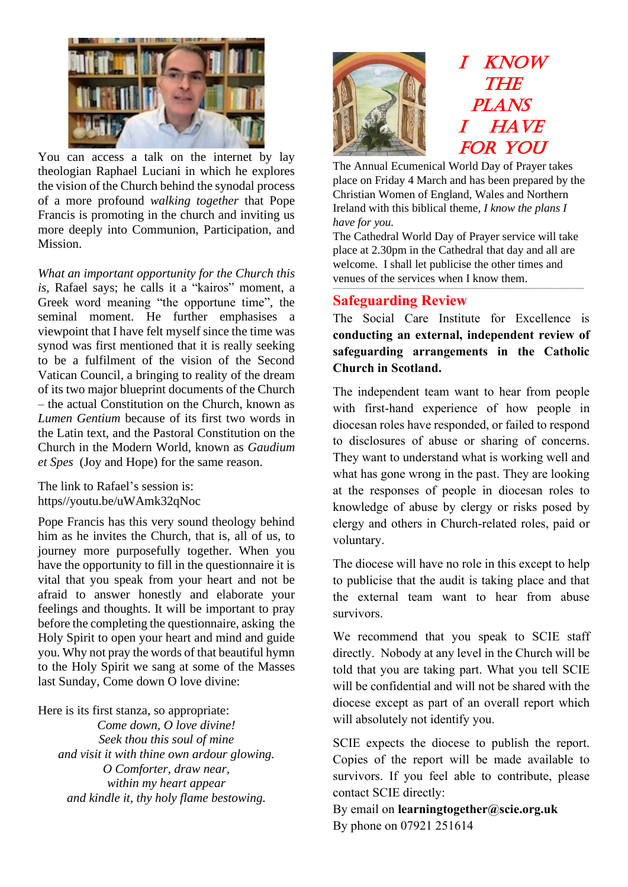

You can access a talk on the internet by lay theologian Raphael Luciani in which he explores the vision of the Church behind the synodal process of a more profound *walking together* that Pope Francis is promoting in the church and inviting us more deeply into Communion, Participation, and Mission.

*What an important opportunity for the Church this is,* Rafael says; he calls it a "kairos" moment, a Greek word meaning "the opportune time", the seminal moment. He further emphasises a viewpoint that I have felt myself since the time was synod was first mentioned that it is really seeking to be a fulfilment of the vision of the Second Vatican Council, a bringing to reality of the dream of its two major blueprint documents of the Church – the actual Constitution on the Church, known as *Lumen Gentium* because of its first two words in the Latin text, and the Pastoral Constitution on the Church in the Modern World, known as *Gaudium et Spes* (Joy and Hope) for the same reason.

The link to Rafael's session is: https//youtu.be/uWAmk32qNoc

Pope Francis has this very sound theology behind him as he invites the Church, that is, all of us, to journey more purposefully together. When you have the opportunity to fill in the questionnaire it is vital that you speak from your heart and not be afraid to answer honestly and elaborate your feelings and thoughts. It will be important to pray before the completing the questionnaire, asking the Holy Spirit to open your heart and mind and guide you. Why not pray the words of that beautiful hymn to the Holy Spirit we sang at some of the Masses last Sunday, Come down O love divine:

Here is its first stanza, so appropriate:

*Come down, O love divine! Seek thou this soul of mine and visit it with thine own ardour glowing. O Comforter, draw near, within my heart appear and kindle it, thy holy flame bestowing.*



The Annual Ecumenical World Day of Prayer takes place on Friday 4 March and has been prepared by the Christian Women of England, Wales and Northern Ireland with this biblical theme, *I know the plans I have for you.*

The Cathedral World Day of Prayer service will take place at 2.30pm in the Cathedral that day and all are welcome. I shall let publicise the other times and venues of the services when I know them.

-----------------------------------------------------------------------------------------------------------------------------------------------

### **Safeguarding Review**

The Social Care Institute for Excellence is **conducting an external, independent review of safeguarding arrangements in the Catholic Church in Scotland.** 

The independent team want to hear from people with first-hand experience of how people in diocesan roles have responded, or failed to respond to disclosures of abuse or sharing of concerns. They want to understand what is working well and what has gone wrong in the past. They are looking at the responses of people in diocesan roles to knowledge of abuse by clergy or risks posed by clergy and others in Church-related roles, paid or voluntary.

The diocese will have no role in this except to help to publicise that the audit is taking place and that the external team want to hear from abuse survivors.

We recommend that you speak to SCIE staff directly. Nobody at any level in the Church will be told that you are taking part. What you tell SCIE will be confidential and will not be shared with the diocese except as part of an overall report which will absolutely not identify you.

SCIE expects the diocese to publish the report. Copies of the report will be made available to survivors. If you feel able to contribute, please contact SCIE directly:

By email on **learningtogether@scie.org.uk**  By phone on 07921 251614